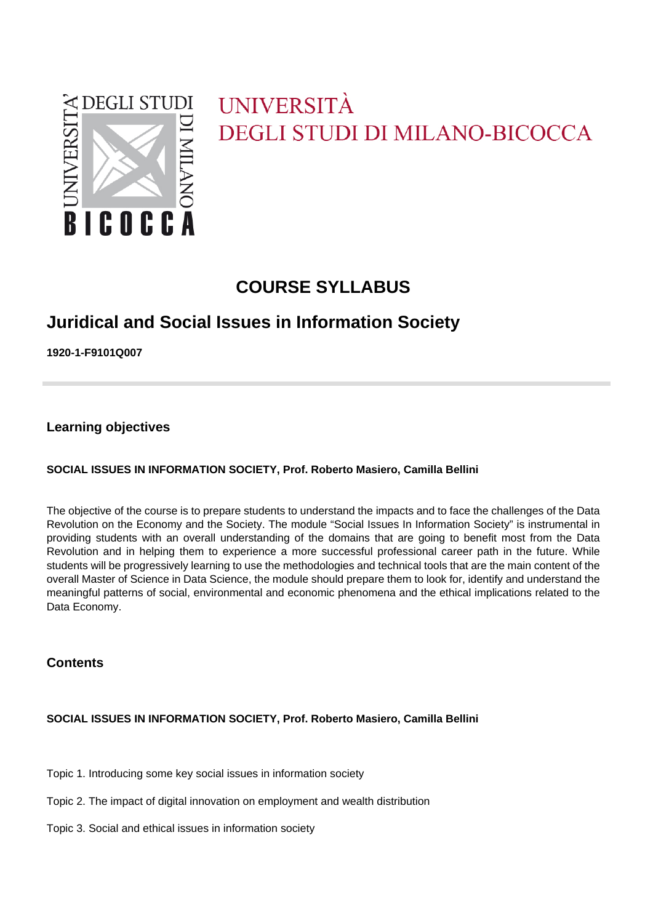

# UNIVERSITÀ **DEGLI STUDI DI MILANO-BICOCCA**

# **COURSE SYLLABUS**

# **Juridical and Social Issues in Information Society**

**1920-1-F9101Q007**

**Learning objectives**

### **SOCIAL ISSUES IN INFORMATION SOCIETY, Prof. Roberto Masiero, Camilla Bellini**

The objective of the course is to prepare students to understand the impacts and to face the challenges of the Data Revolution on the Economy and the Society. The module "Social Issues In Information Society" is instrumental in providing students with an overall understanding of the domains that are going to benefit most from the Data Revolution and in helping them to experience a more successful professional career path in the future. While students will be progressively learning to use the methodologies and technical tools that are the main content of the overall Master of Science in Data Science, the module should prepare them to look for, identify and understand the meaningful patterns of social, environmental and economic phenomena and the ethical implications related to the Data Economy.

### **Contents**

### **SOCIAL ISSUES IN INFORMATION SOCIETY, Prof. Roberto Masiero, Camilla Bellini**

Topic 1. Introducing some key social issues in information society

- Topic 2. The impact of digital innovation on employment and wealth distribution
- Topic 3. Social and ethical issues in information society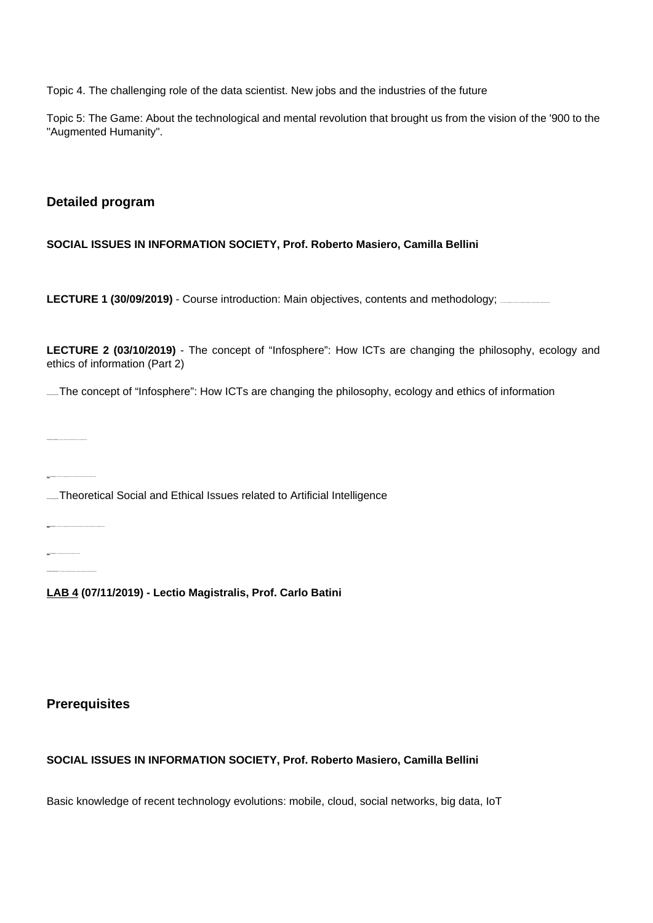Topic 4. The challenging role of the data scientist. New jobs and the industries of the future

Topic 5: The Game: About the technological and mental revolution that brought us from the vision of the '900 to the "Augmented Humanity".

# **Detailed program**

**SOCIAL ISSUES IN INFORMATION SOCIETY, Prof. Roberto Masiero, Camilla Bellini**

**LECTURE 1 (30/09/2019)** - Course introduction: Main objectives, contents and methodology; **The concept of information** 

**LECTURE 2 (03/10/2019)** - The concept of "Infosphere": How ICTs are changing the philosophy, ecology and ethics of information (Part 2)

LECTURE 3 (100) **The concept of "Infosphere": How ICTs are changing the philosophy, ecology and ethics of information** 

**LECTURE 4 (17/10/2019)** - Privacy, politics and environmental issues in the digital world

LAB 1 (21/10/2019) - How ICTs are changing the Society: the impact of the impact of the Network Society

**LECTURE 7 (2013)** LETTURE 5 (2010) **LECTURE 3 (2013)** Theoretical Social and Ethical Issues related to Artificial Intelligence

**LAB 2 (28/10/2019)** - How ICTs are changing the Economy and the Enterprise: from Platform Revolution to the Digital Economy

**LAB 3 (31/10/2019)** - The Industries of the Future according to Alec Ross **LECTURE 6 (04/11/2019)** - The impact of the digital innovation on growth, employment and wealth distribution

**LAB 4 (07/11/2019) - Lectio Magistralis, Prof. Carlo Batini**

# **Prerequisites**

# **SOCIAL ISSUES IN INFORMATION SOCIETY, Prof. Roberto Masiero, Camilla Bellini**

Basic knowledge of recent technology evolutions: mobile, cloud, social networks, big data, IoT